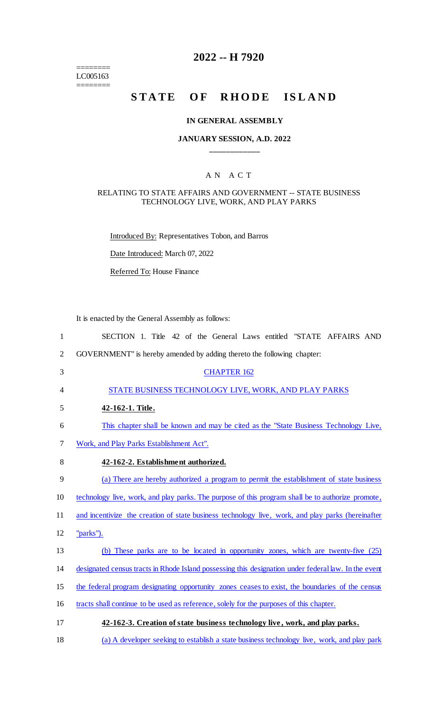======== LC005163

========

# **2022 -- H 7920**

# STATE OF RHODE ISLAND

#### **IN GENERAL ASSEMBLY**

## **JANUARY SESSION, A.D. 2022 \_\_\_\_\_\_\_\_\_\_\_\_**

## A N A C T

#### RELATING TO STATE AFFAIRS AND GOVERNMENT -- STATE BUSINESS TECHNOLOGY LIVE, WORK, AND PLAY PARKS

Introduced By: Representatives Tobon, and Barros

Date Introduced: March 07, 2022

Referred To: House Finance

It is enacted by the General Assembly as follows:

| $\mathbf{1}$   | SECTION 1. Title 42 of the General Laws entitled "STATE AFFAIRS AND                                  |
|----------------|------------------------------------------------------------------------------------------------------|
| $\overline{2}$ | GOVERNMENT" is hereby amended by adding thereto the following chapter:                               |
| 3              | <b>CHAPTER 162</b>                                                                                   |
| $\overline{4}$ | STATE BUSINESS TECHNOLOGY LIVE, WORK, AND PLAY PARKS                                                 |
| 5              | 42-162-1. Title.                                                                                     |
| 6              | This chapter shall be known and may be cited as the "State Business Technology Live,                 |
| 7              | Work, and Play Parks Establishment Act".                                                             |
| 8              | 42-162-2. Establishment authorized.                                                                  |
| 9              | (a) There are hereby authorized a program to permit the establishment of state business              |
| 10             | technology live, work, and play parks. The purpose of this program shall be to authorize promote,    |
| 11             | and incentivize the creation of state business technology live, work, and play parks (hereinafter    |
| 12             | "parks").                                                                                            |
| 13             | (b) These parks are to be located in opportunity zones, which are twenty-five (25)                   |
| 14             | designated census tracts in Rhode Island possessing this designation under federal law. In the event |
| 15             | the federal program designating opportunity zones ceases to exist, the boundaries of the census      |
| 16             | tracts shall continue to be used as reference, solely for the purposes of this chapter.              |
| 17             | 42-162-3. Creation of state business technology live, work, and play parks.                          |
| 18             | (a) A developer seeking to establish a state business technology live, work, and play park           |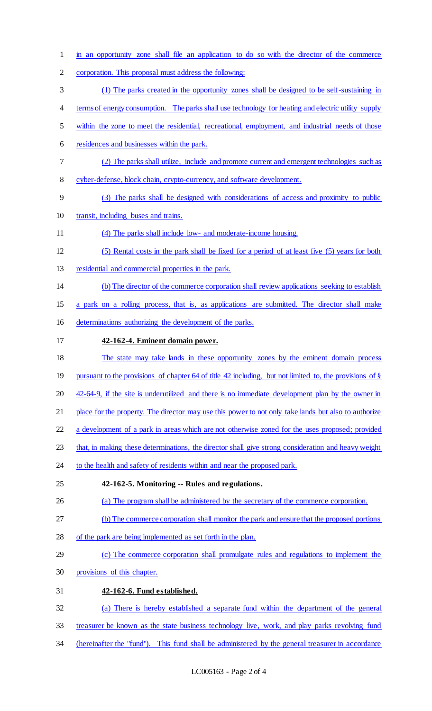in an opportunity zone shall file an application to do so with the director of the commerce corporation. This proposal must address the following: (1) The parks created in the opportunity zones shall be designed to be self-sustaining in 4 terms of energy consumption. The parks shall use technology for heating and electric utility supply within the zone to meet the residential, recreational, employment, and industrial needs of those residences and businesses within the park. (2) The parks shall utilize, include and promote current and emergent technologies such as cyber-defense, block chain, crypto-currency, and software development. (3) The parks shall be designed with considerations of access and proximity to public transit, including buses and trains. (4) The parks shall include low- and moderate-income housing. (5) Rental costs in the park shall be fixed for a period of at least five (5) years for both residential and commercial properties in the park. (b) The director of the commerce corporation shall review applications seeking to establish a park on a rolling process, that is, as applications are submitted. The director shall make determinations authorizing the development of the parks. **42-162-4. Eminent domain power.**  The state may take lands in these opportunity zones by the eminent domain process 19 pursuant to the provisions of chapter 64 of title 42 including, but not limited to, the provisions of § 20 42-64-9, if the site is underutilized and there is no immediate development plan by the owner in place for the property. The director may use this power to not only take lands but also to authorize a development of a park in areas which are not otherwise zoned for the uses proposed; provided that, in making these determinations, the director shall give strong consideration and heavy weight 24 to the health and safety of residents within and near the proposed park. **42-162-5. Monitoring -- Rules and regulations.**  (a) The program shall be administered by the secretary of the commerce corporation. (b) The commerce corporation shall monitor the park and ensure that the proposed portions of the park are being implemented as set forth in the plan. (c) The commerce corporation shall promulgate rules and regulations to implement the provisions of this chapter. **42-162-6. Fund established.**  (a) There is hereby established a separate fund within the department of the general treasurer be known as the state business technology live, work, and play parks revolving fund (hereinafter the "fund"). This fund shall be administered by the general treasurer in accordance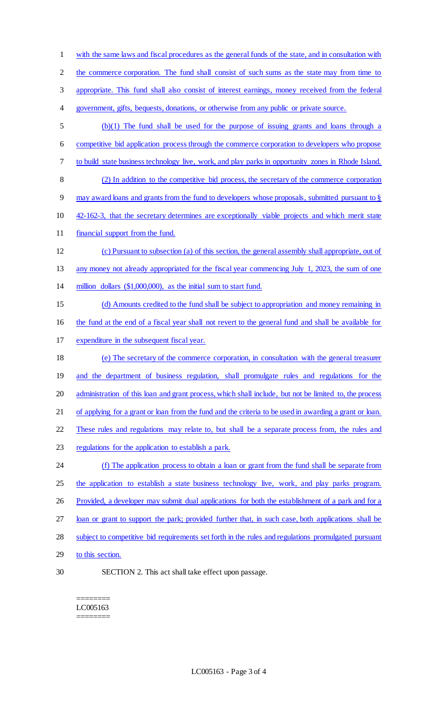2 the commerce corporation. The fund shall consist of such sums as the state may from time to appropriate. This fund shall also consist of interest earnings, money received from the federal government, gifts, bequests, donations, or otherwise from any public or private source. (b)(1) The fund shall be used for the purpose of issuing grants and loans through a competitive bid application process through the commerce corporation to developers who propose to build state business technology live, work, and play parks in opportunity zones in Rhode Island. (2) In addition to the competitive bid process, the secretary of the commerce corporation may award loans and grants from the fund to developers whose proposals, submitted pursuant to § 42-162-3, that the secretary determines are exceptionally viable projects and which merit state financial support from the fund. (c) Pursuant to subsection (a) of this section, the general assembly shall appropriate, out of 13 any money not already appropriated for the fiscal year commencing July 1, 2023, the sum of one million dollars (\$1,000,000), as the initial sum to start fund. (d) Amounts credited to the fund shall be subject to appropriation and money remaining in the fund at the end of a fiscal year shall not revert to the general fund and shall be available for expenditure in the subsequent fiscal year. (e) The secretary of the commerce corporation, in consultation with the general treasurer and the department of business regulation, shall promulgate rules and regulations for the administration of this loan and grant process, which shall include, but not be limited to, the process of applying for a grant or loan from the fund and the criteria to be used in awarding a grant or loan. These rules and regulations may relate to, but shall be a separate process from, the rules and regulations for the application to establish a park. (f) The application process to obtain a loan or grant from the fund shall be separate from 25 the application to establish a state business technology live, work, and play parks program. 26 Provided, a developer may submit dual applications for both the establishment of a park and for a loan or grant to support the park; provided further that, in such case, both applications shall be subject to competitive bid requirements set forth in the rules and regulations promulgated pursuant 29 to this section. SECTION 2. This act shall take effect upon passage.

with the same laws and fiscal procedures as the general funds of the state, and in consultation with

#### ======== LC005163 ========